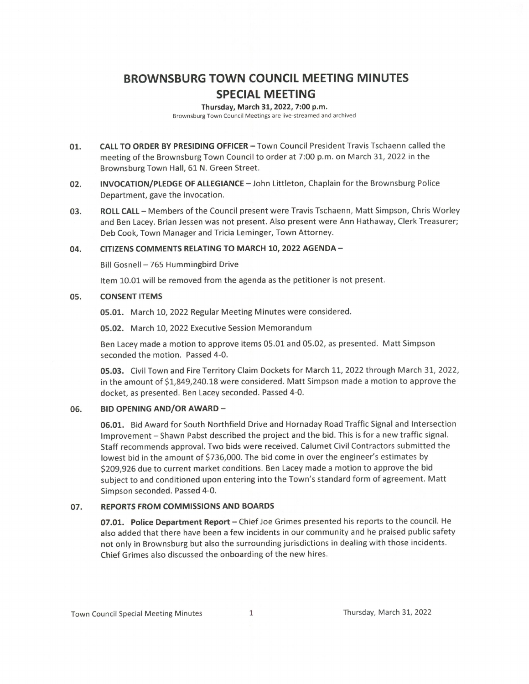# BROWNSBURG TOWN COUNCIL MEETING MINUTES SPECIAL MEETING

Thursday, March 31, 2022, 7:00 p.m. Brownsburg Town Council Meetings are live- streamed and archived

- 01. CALL TO ORDER BY PRESIDING OFFICER— Town Council President Travis Tschaenn called the meeting of the Brownsburg Town Council to order at 7:00 p.m. on March 31, 2022 in the Brownsburg Town Hall, 61 N. Green Street.
- 02. INVOCATION/PLEDGE OF ALLEGIANCE John Littleton, Chaplain for the Brownsburg Police Department, gave the invocation.
- 03. ROLL CALL Members of the Council present were Travis Tschaenn, Matt Simpson, Chris Worley and Ben Lacey. Brian Jessen was not present. Also present were Ann Hathaway, Clerk Treasurer; Deb Cook, Town Manager and Tricia Leminger, Town Attorney.

## 04. CITIZENS COMMENTS RELATING TO MARCH 10, 2022 AGENDA—

Bill Gosnell— 765 Hummingbird Drive

Item 10.01 will be removed from the agenda as the petitioner is not present.

## 05. CONSENT ITEMS

05.01. March 10, 2022 Regular Meeting Minutes were considered.

05.02. March 10, 2022 Executive Session Memorandum

Ben Lacey made <sup>a</sup> motion to approve items 05. 01 and 05. 02, as presented. Matt Simpson seconded the motion. Passed 4-0.

05.03. Civil Town and Fire Territory Claim Dockets for March 11, 2022 through March 31, 2022, in the amount of \$1,849, 240. 18 were considered. Matt Simpson made a motion to approve the docket, as presented. Ben Lacey seconded. Passed 4-0.

## 06. BID OPENING AND/OR AWARD -

06.01. Bid Award for South Northfield Drive and Hornaday Road Traffic Signal and Intersection Improvement— Shawn Pabst described the project and the bid. This is for <sup>a</sup> new traffic signal. Staff recommends approval. Two bids were received. Calumet Civil Contractors submitted the lowest bid in the amount of \$736,000. The bid come in over the engineer's estimates by 209, 926 due to current market conditions. Ben Lacey made <sup>a</sup> motion to approve the bid subject to and conditioned upon entering into the Town's standard form of agreement. Matt Simpson seconded. Passed 4-0.

## 07. REPORTS FROM COMMISSIONS AND BOARDS

07.01. Police Department Report - Chief Joe Grimes presented his reports to the council. He also added that there have been <sup>a</sup> few incidents in our community and he praised public safety not only in Brownsburg but also the surrounding jurisdictions in dealing with those incidents. Chief Grimes also discussed the onboarding of the new hires.